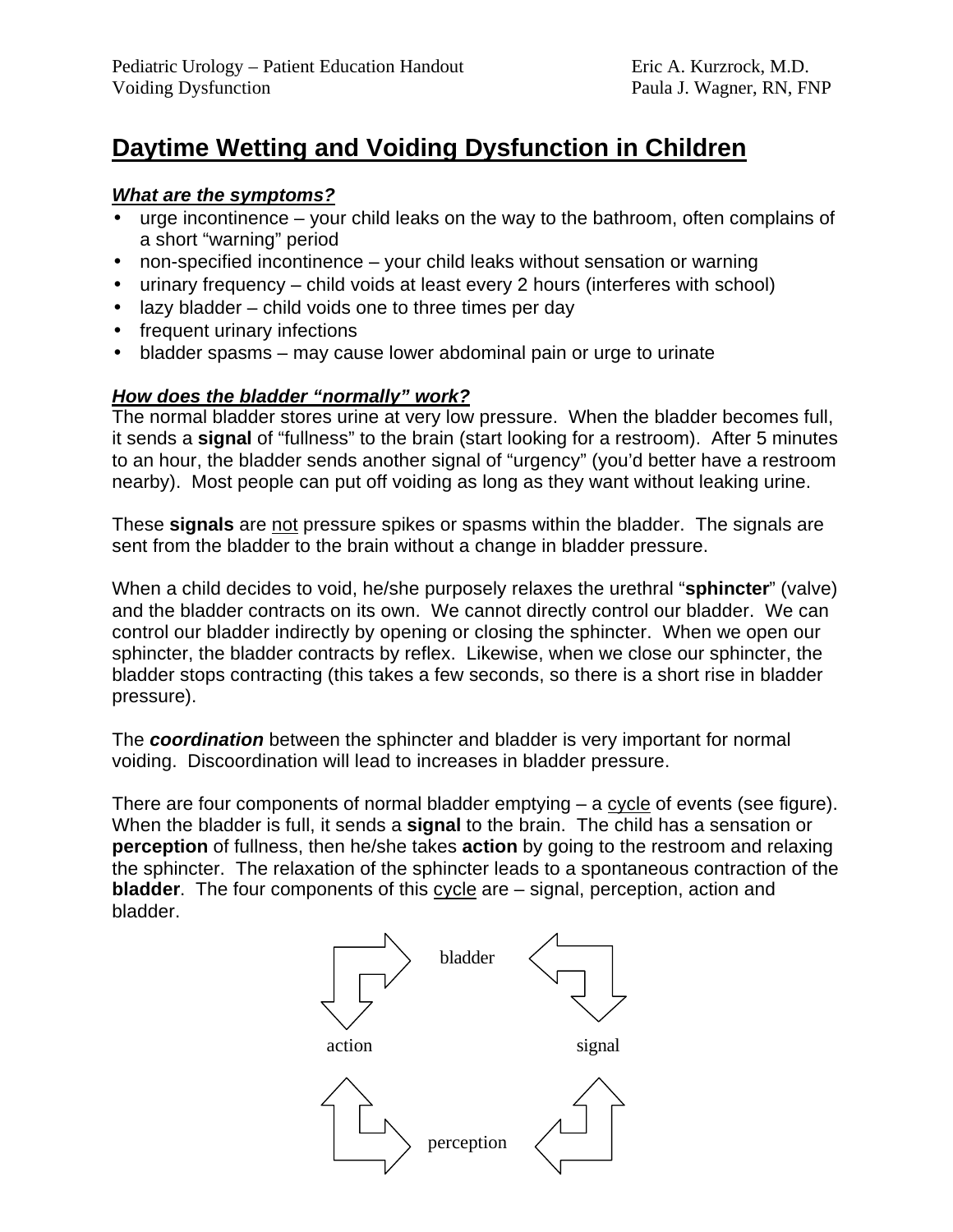# **Daytime Wetting and Voiding Dysfunction in Children**

#### *What are the symptoms?*

- urge incontinence your child leaks on the way to the bathroom, often complains of a short "warning" period
- non-specified incontinence your child leaks without sensation or warning
- urinary frequency child voids at least every 2 hours (interferes with school)
- lazy bladder child voids one to three times per day
- frequent urinary infections
- bladder spasms may cause lower abdominal pain or urge to urinate

### *How does the bladder "normally" work?*

The normal bladder stores urine at very low pressure. When the bladder becomes full, it sends a **signal** of "fullness" to the brain (start looking for a restroom). After 5 minutes to an hour, the bladder sends another signal of "urgency" (you'd better have a restroom nearby). Most people can put off voiding as long as they want without leaking urine.

These **signals** are not pressure spikes or spasms within the bladder. The signals are sent from the bladder to the brain without a change in bladder pressure.

When a child decides to void, he/she purposely relaxes the urethral "**sphincter**" (valve) and the bladder contracts on its own. We cannot directly control our bladder. We can control our bladder indirectly by opening or closing the sphincter. When we open our sphincter, the bladder contracts by reflex. Likewise, when we close our sphincter, the bladder stops contracting (this takes a few seconds, so there is a short rise in bladder pressure).

The *coordination* between the sphincter and bladder is very important for normal voiding. Discoordination will lead to increases in bladder pressure.

There are four components of normal bladder emptying – a cycle of events (see figure). When the bladder is full, it sends a **signal** to the brain. The child has a sensation or **perception** of fullness, then he/she takes **action** by going to the restroom and relaxing the sphincter. The relaxation of the sphincter leads to a spontaneous contraction of the **bladder**. The four components of this cycle are – signal, perception, action and bladder.

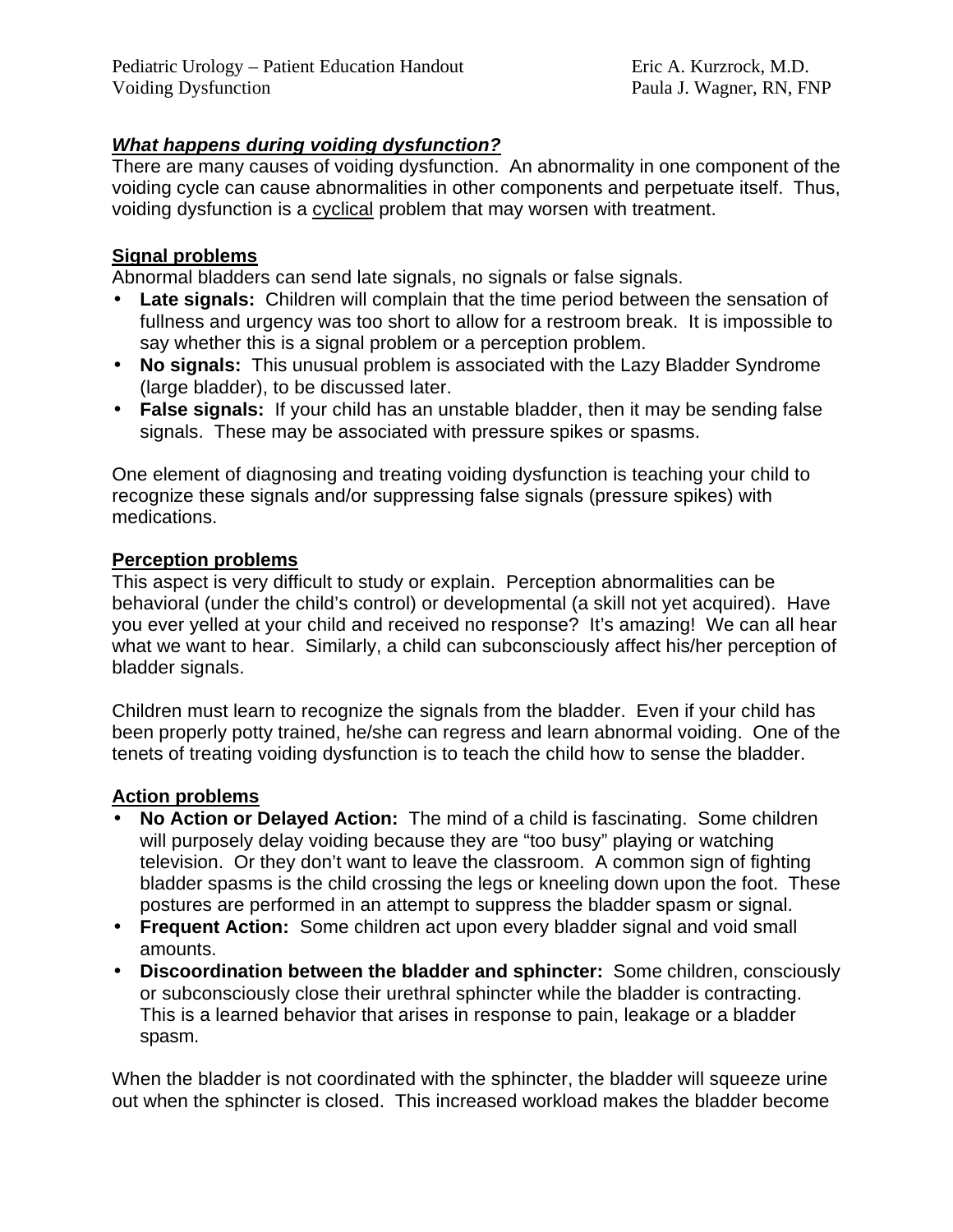### *What happens during voiding dysfunction?*

There are many causes of voiding dysfunction. An abnormality in one component of the voiding cycle can cause abnormalities in other components and perpetuate itself. Thus, voiding dysfunction is a cyclical problem that may worsen with treatment.

#### **Signal problems**

Abnormal bladders can send late signals, no signals or false signals.

- **Late signals:** Children will complain that the time period between the sensation of fullness and urgency was too short to allow for a restroom break. It is impossible to say whether this is a signal problem or a perception problem.
- **No signals:** This unusual problem is associated with the Lazy Bladder Syndrome (large bladder), to be discussed later.
- **False signals:** If your child has an unstable bladder, then it may be sending false signals. These may be associated with pressure spikes or spasms.

One element of diagnosing and treating voiding dysfunction is teaching your child to recognize these signals and/or suppressing false signals (pressure spikes) with medications.

#### **Perception problems**

This aspect is very difficult to study or explain. Perception abnormalities can be behavioral (under the child's control) or developmental (a skill not yet acquired). Have you ever yelled at your child and received no response? It's amazing! We can all hear what we want to hear. Similarly, a child can subconsciously affect his/her perception of bladder signals.

Children must learn to recognize the signals from the bladder. Even if your child has been properly potty trained, he/she can regress and learn abnormal voiding. One of the tenets of treating voiding dysfunction is to teach the child how to sense the bladder.

#### **Action problems**

- **No Action or Delayed Action:** The mind of a child is fascinating. Some children will purposely delay voiding because they are "too busy" playing or watching television. Or they don't want to leave the classroom. A common sign of fighting bladder spasms is the child crossing the legs or kneeling down upon the foot. These postures are performed in an attempt to suppress the bladder spasm or signal.
- **Frequent Action:** Some children act upon every bladder signal and void small amounts.
- **Discoordination between the bladder and sphincter:** Some children, consciously or subconsciously close their urethral sphincter while the bladder is contracting. This is a learned behavior that arises in response to pain, leakage or a bladder spasm.

When the bladder is not coordinated with the sphincter, the bladder will squeeze urine out when the sphincter is closed. This increased workload makes the bladder become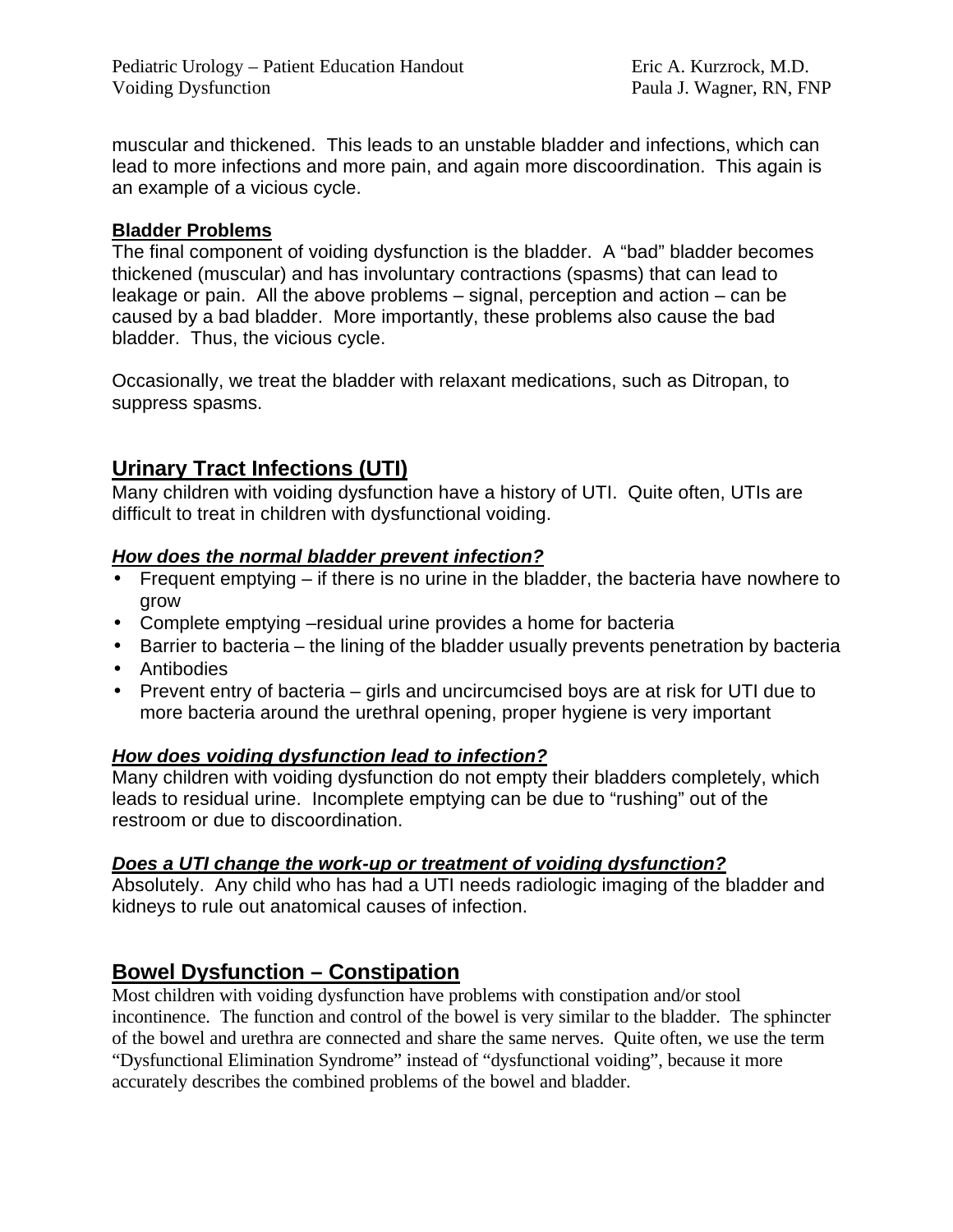muscular and thickened. This leads to an unstable bladder and infections, which can lead to more infections and more pain, and again more discoordination. This again is an example of a vicious cycle.

### **Bladder Problems**

The final component of voiding dysfunction is the bladder. A "bad" bladder becomes thickened (muscular) and has involuntary contractions (spasms) that can lead to leakage or pain. All the above problems – signal, perception and action – can be caused by a bad bladder. More importantly, these problems also cause the bad bladder. Thus, the vicious cycle.

Occasionally, we treat the bladder with relaxant medications, such as Ditropan, to suppress spasms.

# **Urinary Tract Infections (UTI)**

Many children with voiding dysfunction have a history of UTI. Quite often, UTIs are difficult to treat in children with dysfunctional voiding.

### *How does the normal bladder prevent infection?*

- Frequent emptying if there is no urine in the bladder, the bacteria have nowhere to grow
- Complete emptying –residual urine provides a home for bacteria
- Barrier to bacteria the lining of the bladder usually prevents penetration by bacteria
- Antibodies
- Prevent entry of bacteria girls and uncircumcised boys are at risk for UTI due to more bacteria around the urethral opening, proper hygiene is very important

### *How does voiding dysfunction lead to infection?*

Many children with voiding dysfunction do not empty their bladders completely, which leads to residual urine. Incomplete emptying can be due to "rushing" out of the restroom or due to discoordination.

### *Does a UTI change the work-up or treatment of voiding dysfunction?*

Absolutely. Any child who has had a UTI needs radiologic imaging of the bladder and kidneys to rule out anatomical causes of infection.

# **Bowel Dysfunction – Constipation**

Most children with voiding dysfunction have problems with constipation and/or stool incontinence. The function and control of the bowel is very similar to the bladder. The sphincter of the bowel and urethra are connected and share the same nerves. Quite often, we use the term "Dysfunctional Elimination Syndrome" instead of "dysfunctional voiding", because it more accurately describes the combined problems of the bowel and bladder.